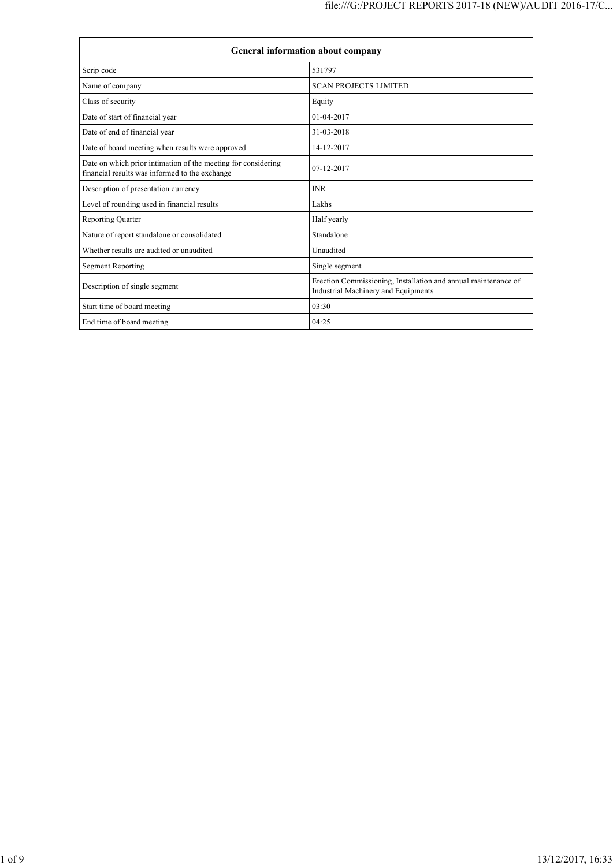| General information about company                                                                               |                                                                                                       |  |  |
|-----------------------------------------------------------------------------------------------------------------|-------------------------------------------------------------------------------------------------------|--|--|
| Scrip code                                                                                                      | 531797                                                                                                |  |  |
| Name of company                                                                                                 | <b>SCAN PROJECTS LIMITED</b>                                                                          |  |  |
| Class of security                                                                                               | Equity                                                                                                |  |  |
| Date of start of financial year                                                                                 | $01 - 04 - 2017$                                                                                      |  |  |
| Date of end of financial year                                                                                   | 31-03-2018                                                                                            |  |  |
| Date of board meeting when results were approved                                                                | 14-12-2017                                                                                            |  |  |
| Date on which prior intimation of the meeting for considering<br>financial results was informed to the exchange | $07 - 12 - 2017$                                                                                      |  |  |
| Description of presentation currency                                                                            | <b>INR</b>                                                                                            |  |  |
| Level of rounding used in financial results                                                                     | Lakhs                                                                                                 |  |  |
| Reporting Quarter                                                                                               | Half yearly                                                                                           |  |  |
| Nature of report standalone or consolidated                                                                     | Standalone                                                                                            |  |  |
| Whether results are audited or unaudited                                                                        | Unaudited                                                                                             |  |  |
| <b>Segment Reporting</b>                                                                                        | Single segment                                                                                        |  |  |
| Description of single segment                                                                                   | Erection Commissioning, Installation and annual maintenance of<br>Industrial Machinery and Equipments |  |  |
| Start time of board meeting                                                                                     | 03:30                                                                                                 |  |  |
| End time of board meeting                                                                                       | 04:25                                                                                                 |  |  |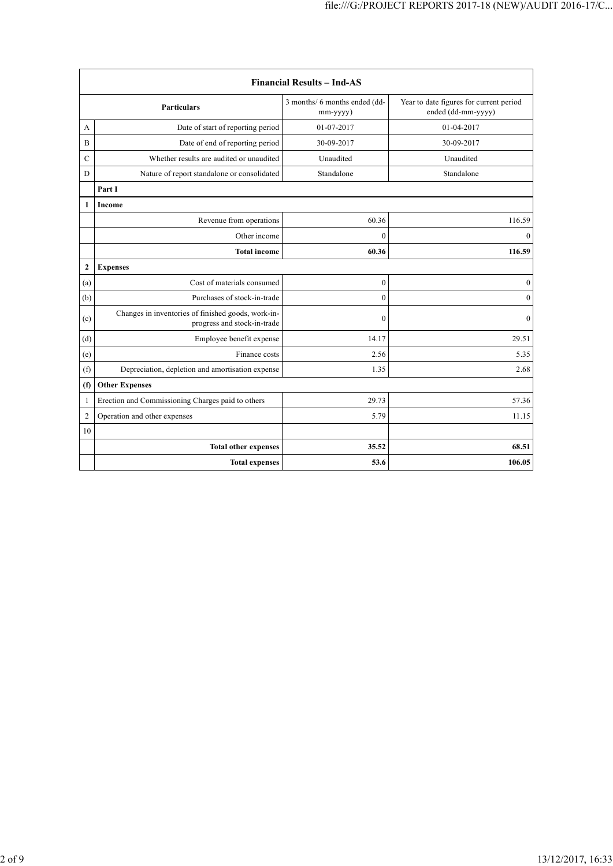| <b>Financial Results - Ind-AS</b> |                                                                                   |                                                 |                                                               |  |
|-----------------------------------|-----------------------------------------------------------------------------------|-------------------------------------------------|---------------------------------------------------------------|--|
|                                   | <b>Particulars</b>                                                                | 3 months/ 6 months ended (dd-<br>$mm$ -yyyy $)$ | Year to date figures for current period<br>ended (dd-mm-yyyy) |  |
| A                                 | Date of start of reporting period                                                 | 01-07-2017                                      | 01-04-2017                                                    |  |
| B                                 | Date of end of reporting period                                                   | 30-09-2017                                      | 30-09-2017                                                    |  |
| $\mathcal{C}$                     | Whether results are audited or unaudited                                          | Unaudited                                       | Unaudited                                                     |  |
| D                                 | Nature of report standalone or consolidated                                       | Standalone                                      | Standalone                                                    |  |
|                                   | Part I                                                                            |                                                 |                                                               |  |
| 1                                 | Income                                                                            |                                                 |                                                               |  |
|                                   | Revenue from operations                                                           | 60.36                                           | 116.59                                                        |  |
|                                   | Other income                                                                      | $\theta$                                        | $\theta$                                                      |  |
|                                   | <b>Total income</b>                                                               | 60.36                                           | 116.59                                                        |  |
| $\overline{2}$                    | <b>Expenses</b>                                                                   |                                                 |                                                               |  |
| (a)                               | Cost of materials consumed                                                        | $\boldsymbol{0}$                                | $\boldsymbol{0}$                                              |  |
| (b)                               | Purchases of stock-in-trade                                                       | $\overline{0}$                                  | $\boldsymbol{0}$                                              |  |
| (c)                               | Changes in inventories of finished goods, work-in-<br>progress and stock-in-trade | $\mathbf{0}$                                    | $\mathbf{0}$                                                  |  |
| (d)                               | Employee benefit expense                                                          | 14.17                                           | 29.51                                                         |  |
| (e)                               | Finance costs                                                                     | 2.56                                            | 5.35                                                          |  |
| (f)                               | Depreciation, depletion and amortisation expense                                  | 1.35                                            | 2.68                                                          |  |
| (f)                               | <b>Other Expenses</b>                                                             |                                                 |                                                               |  |
| 1                                 | Erection and Commissioning Charges paid to others                                 | 29.73                                           | 57.36                                                         |  |
| $\overline{2}$                    | Operation and other expenses                                                      | 5.79                                            | 11.15                                                         |  |
| 10                                |                                                                                   |                                                 |                                                               |  |
|                                   | <b>Total other expenses</b>                                                       | 35.52                                           | 68.51                                                         |  |
|                                   | <b>Total expenses</b>                                                             | 53.6                                            | 106.05                                                        |  |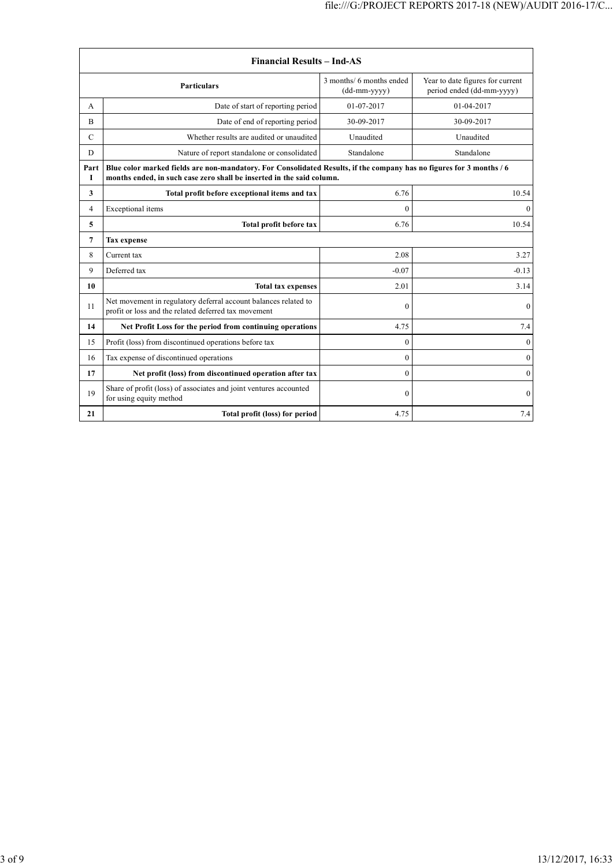| <b>Financial Results - Ind-AS</b> |                                                                                                                                                                                               |                                          |                                                               |  |
|-----------------------------------|-----------------------------------------------------------------------------------------------------------------------------------------------------------------------------------------------|------------------------------------------|---------------------------------------------------------------|--|
|                                   | <b>Particulars</b>                                                                                                                                                                            | 3 months/ 6 months ended<br>(dd-mm-yyyy) | Year to date figures for current<br>period ended (dd-mm-yyyy) |  |
| A                                 | Date of start of reporting period                                                                                                                                                             | 01-07-2017                               | 01-04-2017                                                    |  |
| B                                 | Date of end of reporting period                                                                                                                                                               | 30-09-2017                               | 30-09-2017                                                    |  |
| $\mathcal{C}$                     | Whether results are audited or unaudited                                                                                                                                                      | Unaudited                                | Unaudited                                                     |  |
| D                                 | Nature of report standalone or consolidated                                                                                                                                                   | Standalone                               | Standalone                                                    |  |
| Part<br>I                         | Blue color marked fields are non-mandatory. For Consolidated Results, if the company has no figures for 3 months / 6<br>months ended, in such case zero shall be inserted in the said column. |                                          |                                                               |  |
| 3                                 | Total profit before exceptional items and tax                                                                                                                                                 | 6.76                                     | 10.54                                                         |  |
| 4                                 | Exceptional items                                                                                                                                                                             | $\theta$                                 | $\theta$                                                      |  |
| 5                                 | Total profit before tax                                                                                                                                                                       | 6.76                                     | 10.54                                                         |  |
| 7                                 | <b>Tax</b> expense                                                                                                                                                                            |                                          |                                                               |  |
| 8                                 | 2.08<br>Current tax                                                                                                                                                                           |                                          |                                                               |  |
| 9                                 | Deferred tax                                                                                                                                                                                  | $-0.07$                                  | $-0.13$                                                       |  |
| 10                                | <b>Total tax expenses</b>                                                                                                                                                                     | 2.01                                     | 3.14                                                          |  |
| 11                                | Net movement in regulatory deferral account balances related to<br>profit or loss and the related deferred tax movement                                                                       | $\Omega$                                 | $\overline{0}$                                                |  |
| 14                                | Net Profit Loss for the period from continuing operations                                                                                                                                     | 4.75                                     | 7.4                                                           |  |
| 15                                | Profit (loss) from discontinued operations before tax                                                                                                                                         | $\Omega$                                 | $\theta$                                                      |  |
| 16                                | Tax expense of discontinued operations                                                                                                                                                        | $\Omega$                                 | $\theta$                                                      |  |
| 17                                | Net profit (loss) from discontinued operation after tax                                                                                                                                       | $\theta$                                 | $\mathbf{0}$                                                  |  |
| 19                                | Share of profit (loss) of associates and joint ventures accounted<br>for using equity method                                                                                                  | $\theta$                                 | $\mathbf{0}$                                                  |  |
| 21                                | Total profit (loss) for period                                                                                                                                                                | 4.75                                     | 7.4                                                           |  |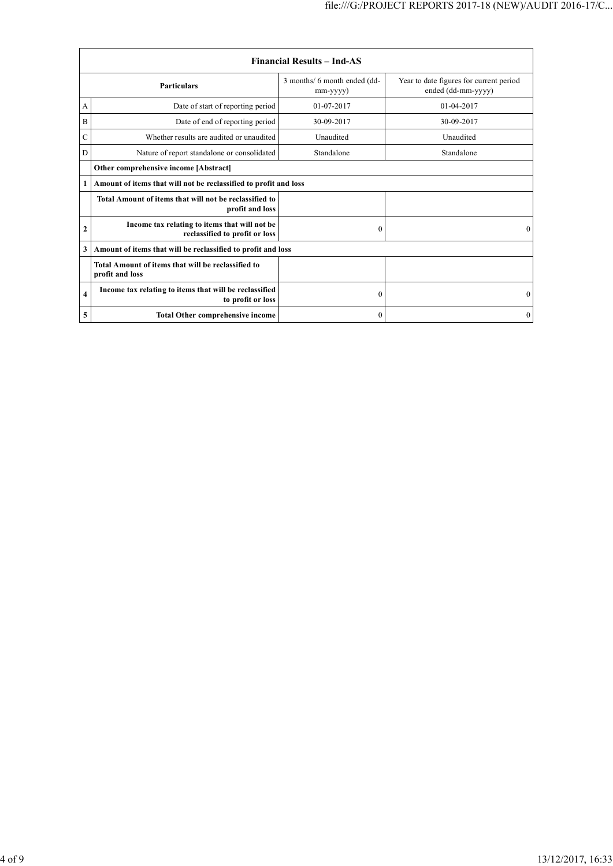| <b>Financial Results - Ind-AS</b> |                                                                                 |                                                                                                                 |                  |  |
|-----------------------------------|---------------------------------------------------------------------------------|-----------------------------------------------------------------------------------------------------------------|------------------|--|
| <b>Particulars</b>                |                                                                                 | 3 months/ 6 month ended (dd-<br>Year to date figures for current period<br>ended (dd-mm-yyyy)<br>$mm$ -yyyy $)$ |                  |  |
| A                                 | Date of start of reporting period                                               | $01 - 07 - 2017$                                                                                                | $01 - 04 - 2017$ |  |
| B                                 | Date of end of reporting period                                                 | 30-09-2017                                                                                                      | 30-09-2017       |  |
| C                                 | Whether results are audited or unaudited                                        | Unaudited                                                                                                       | Unaudited        |  |
| D                                 | Nature of report standalone or consolidated                                     | Standalone                                                                                                      | Standalone       |  |
|                                   | Other comprehensive income [Abstract]                                           |                                                                                                                 |                  |  |
|                                   | Amount of items that will not be reclassified to profit and loss                |                                                                                                                 |                  |  |
|                                   | Total Amount of items that will not be reclassified to<br>profit and loss       |                                                                                                                 |                  |  |
| $\mathbf{2}$                      | Income tax relating to items that will not be<br>reclassified to profit or loss | $\boldsymbol{0}$                                                                                                | $\Omega$         |  |
| 3                                 | Amount of items that will be reclassified to profit and loss                    |                                                                                                                 |                  |  |
|                                   | Total Amount of items that will be reclassified to<br>profit and loss           |                                                                                                                 |                  |  |
| $\overline{\bf{4}}$               | Income tax relating to items that will be reclassified<br>to profit or loss     | $\mathbf{0}$                                                                                                    | $\Omega$         |  |
| 5                                 | <b>Total Other comprehensive income</b>                                         | $\mathbf{0}$                                                                                                    | $\Omega$         |  |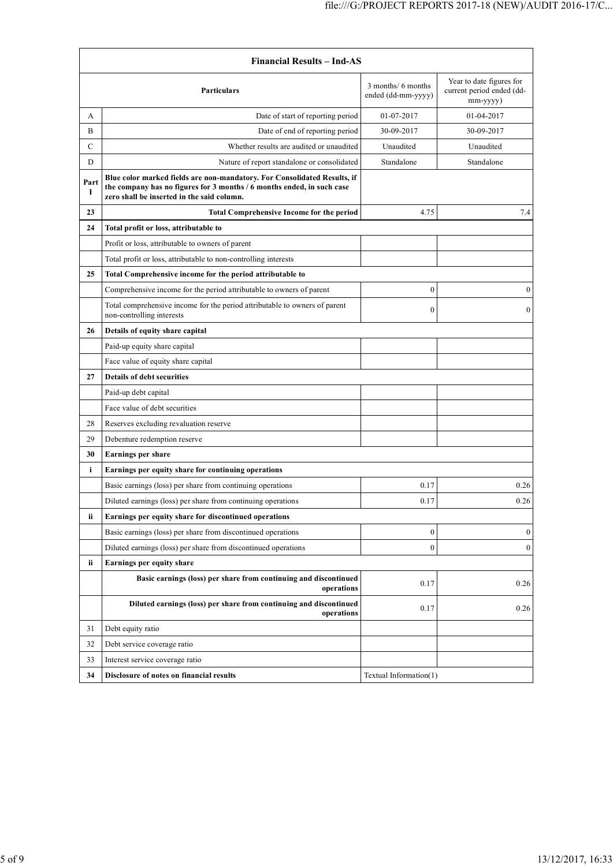|                     | <b>Financial Results – Ind-AS</b>                                                                                                                                                                |                                          |                                                                   |  |
|---------------------|--------------------------------------------------------------------------------------------------------------------------------------------------------------------------------------------------|------------------------------------------|-------------------------------------------------------------------|--|
|                     | <b>Particulars</b>                                                                                                                                                                               | 3 months/ 6 months<br>ended (dd-mm-yyyy) | Year to date figures for<br>current period ended (dd-<br>mm-yyyy) |  |
| A                   | Date of start of reporting period                                                                                                                                                                | 01-07-2017                               | 01-04-2017                                                        |  |
| B                   | Date of end of reporting period                                                                                                                                                                  | 30-09-2017                               | 30-09-2017                                                        |  |
| C                   | Whether results are audited or unaudited                                                                                                                                                         | Unaudited                                | Unaudited                                                         |  |
| D                   | Nature of report standalone or consolidated                                                                                                                                                      | Standalone                               | Standalone                                                        |  |
| Part<br>$\mathbf I$ | Blue color marked fields are non-mandatory. For Consolidated Results, if<br>the company has no figures for 3 months / 6 months ended, in such case<br>zero shall be inserted in the said column. |                                          |                                                                   |  |
| 23                  | <b>Total Comprehensive Income for the period</b>                                                                                                                                                 | 4.75                                     | 7.4                                                               |  |
| 24                  | Total profit or loss, attributable to                                                                                                                                                            |                                          |                                                                   |  |
|                     | Profit or loss, attributable to owners of parent                                                                                                                                                 |                                          |                                                                   |  |
|                     | Total profit or loss, attributable to non-controlling interests                                                                                                                                  |                                          |                                                                   |  |
| 25                  | Total Comprehensive income for the period attributable to                                                                                                                                        |                                          |                                                                   |  |
|                     | Comprehensive income for the period attributable to owners of parent                                                                                                                             | $\boldsymbol{0}$                         | $\boldsymbol{0}$                                                  |  |
|                     | Total comprehensive income for the period attributable to owners of parent<br>non-controlling interests                                                                                          | $\boldsymbol{0}$                         | $\overline{0}$                                                    |  |
| 26                  | Details of equity share capital                                                                                                                                                                  |                                          |                                                                   |  |
|                     | Paid-up equity share capital                                                                                                                                                                     |                                          |                                                                   |  |
|                     | Face value of equity share capital                                                                                                                                                               |                                          |                                                                   |  |
| 27                  | <b>Details of debt securities</b>                                                                                                                                                                |                                          |                                                                   |  |
|                     | Paid-up debt capital                                                                                                                                                                             |                                          |                                                                   |  |
|                     | Face value of debt securities                                                                                                                                                                    |                                          |                                                                   |  |
| 28                  | Reserves excluding revaluation reserve                                                                                                                                                           |                                          |                                                                   |  |
| 29                  | Debenture redemption reserve                                                                                                                                                                     |                                          |                                                                   |  |
| 30                  | Earnings per share                                                                                                                                                                               |                                          |                                                                   |  |
| i                   | Earnings per equity share for continuing operations                                                                                                                                              |                                          |                                                                   |  |
|                     | Basic earnings (loss) per share from continuing operations                                                                                                                                       | 0.17                                     | 0.26                                                              |  |
|                     | Diluted earnings (loss) per share from continuing operations                                                                                                                                     | 0.17                                     | 0.26                                                              |  |
| ii.                 | Earnings per equity share for discontinued operations                                                                                                                                            |                                          |                                                                   |  |
|                     | Basic earnings (loss) per share from discontinued operations                                                                                                                                     | $\boldsymbol{0}$                         | $\boldsymbol{0}$                                                  |  |
|                     | Diluted earnings (loss) per share from discontinued operations                                                                                                                                   | $\boldsymbol{0}$                         | $\mathbf{0}$                                                      |  |
| ii                  | Earnings per equity share                                                                                                                                                                        |                                          |                                                                   |  |
|                     | Basic earnings (loss) per share from continuing and discontinued<br>operations                                                                                                                   | 0.17                                     | 0.26                                                              |  |
|                     | Diluted earnings (loss) per share from continuing and discontinued<br>operations                                                                                                                 | 0.17                                     | 0.26                                                              |  |
| 31                  | Debt equity ratio                                                                                                                                                                                |                                          |                                                                   |  |
| 32                  | Debt service coverage ratio                                                                                                                                                                      |                                          |                                                                   |  |
| 33                  | Interest service coverage ratio                                                                                                                                                                  |                                          |                                                                   |  |
| 34                  | Disclosure of notes on financial results                                                                                                                                                         | Textual Information(1)                   |                                                                   |  |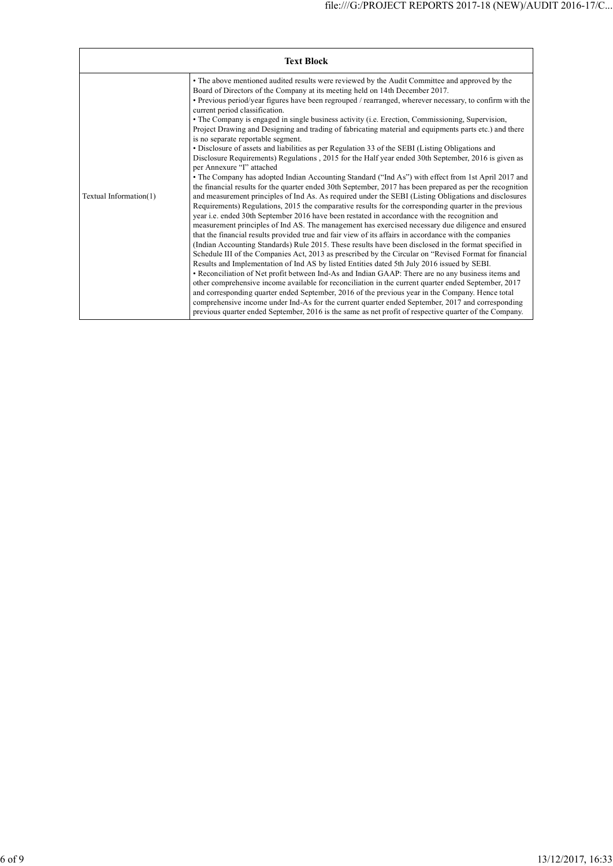|                        | <b>Text Block</b>                                                                                                                                                                                                                                                                                                                                                                                                                                                                                                                                                                                                                                                                                                                                                                                                                                                                                                                                                                                                                                                                                                                                                                                                                                                                                                                                                                                                                                                                                                                                                                                                                                                                                                                                                                                                                                                                                                                                                                                                                                                                                                                                                                                                                                                                                                                                                                                                                   |
|------------------------|-------------------------------------------------------------------------------------------------------------------------------------------------------------------------------------------------------------------------------------------------------------------------------------------------------------------------------------------------------------------------------------------------------------------------------------------------------------------------------------------------------------------------------------------------------------------------------------------------------------------------------------------------------------------------------------------------------------------------------------------------------------------------------------------------------------------------------------------------------------------------------------------------------------------------------------------------------------------------------------------------------------------------------------------------------------------------------------------------------------------------------------------------------------------------------------------------------------------------------------------------------------------------------------------------------------------------------------------------------------------------------------------------------------------------------------------------------------------------------------------------------------------------------------------------------------------------------------------------------------------------------------------------------------------------------------------------------------------------------------------------------------------------------------------------------------------------------------------------------------------------------------------------------------------------------------------------------------------------------------------------------------------------------------------------------------------------------------------------------------------------------------------------------------------------------------------------------------------------------------------------------------------------------------------------------------------------------------------------------------------------------------------------------------------------------------|
| Textual Information(1) | • The above mentioned audited results were reviewed by the Audit Committee and approved by the<br>Board of Directors of the Company at its meeting held on 14th December 2017.<br>• Previous period/year figures have been regrouped / rearranged, wherever necessary, to confirm with the<br>current period classification.<br>• The Company is engaged in single business activity (i.e. Erection, Commissioning, Supervision,<br>Project Drawing and Designing and trading of fabricating material and equipments parts etc.) and there<br>is no separate reportable segment.<br>• Disclosure of assets and liabilities as per Regulation 33 of the SEBI (Listing Obligations and<br>Disclosure Requirements) Regulations, 2015 for the Half year ended 30th September, 2016 is given as<br>per Annexure "I" attached<br>• The Company has adopted Indian Accounting Standard ("Ind As") with effect from 1st April 2017 and<br>the financial results for the quarter ended 30th September, 2017 has been prepared as per the recognition<br>and measurement principles of Ind As. As required under the SEBI (Listing Obligations and disclosures<br>Requirements) Regulations, 2015 the comparative results for the corresponding quarter in the previous<br>year i.e. ended 30th September 2016 have been restated in accordance with the recognition and<br>measurement principles of Ind AS. The management has exercised necessary due diligence and ensured<br>that the financial results provided true and fair view of its affairs in accordance with the companies<br>(Indian Accounting Standards) Rule 2015. These results have been disclosed in the format specified in<br>Schedule III of the Companies Act, 2013 as prescribed by the Circular on "Revised Format for financial"<br>Results and Implementation of Ind AS by listed Entities dated 5th July 2016 issued by SEBI.<br>• Reconciliation of Net profit between Ind-As and Indian GAAP: There are no any business items and<br>other comprehensive income available for reconciliation in the current quarter ended September, 2017<br>and corresponding quarter ended September, 2016 of the previous year in the Company. Hence total<br>comprehensive income under Ind-As for the current quarter ended September, 2017 and corresponding<br>previous quarter ended September, 2016 is the same as net profit of respective quarter of the Company. |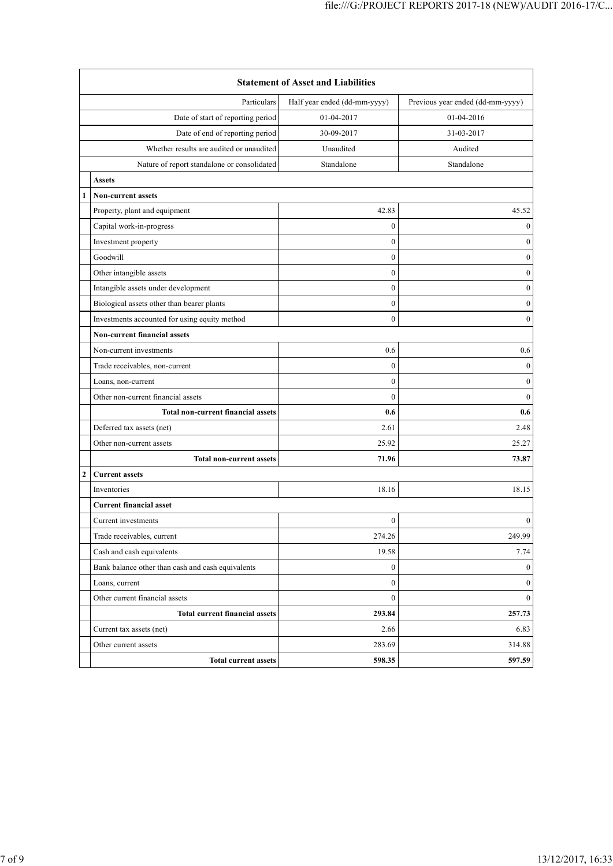| <b>Statement of Asset and Liabilities</b>   |                                                   |                  |                                  |  |  |  |
|---------------------------------------------|---------------------------------------------------|------------------|----------------------------------|--|--|--|
| Particulars<br>Half year ended (dd-mm-yyyy) |                                                   |                  | Previous year ended (dd-mm-yyyy) |  |  |  |
| Date of start of reporting period           |                                                   | 01-04-2017       | 01-04-2016                       |  |  |  |
| Date of end of reporting period             |                                                   | 30-09-2017       | 31-03-2017                       |  |  |  |
| Whether results are audited or unaudited    |                                                   | Unaudited        | Audited                          |  |  |  |
|                                             | Nature of report standalone or consolidated       | Standalone       | Standalone                       |  |  |  |
|                                             | <b>Assets</b>                                     |                  |                                  |  |  |  |
|                                             | <b>Non-current assets</b>                         |                  |                                  |  |  |  |
|                                             | Property, plant and equipment<br>42.83<br>45.52   |                  |                                  |  |  |  |
|                                             | Capital work-in-progress                          | $\mathbf{0}$     | $\bf{0}$                         |  |  |  |
|                                             | Investment property                               | $\mathbf{0}$     | 0                                |  |  |  |
|                                             | Goodwill                                          | $\boldsymbol{0}$ | $\boldsymbol{0}$                 |  |  |  |
|                                             | Other intangible assets                           | $\mathbf{0}$     | $\boldsymbol{0}$                 |  |  |  |
|                                             | Intangible assets under development               | $\boldsymbol{0}$ | $\boldsymbol{0}$                 |  |  |  |
|                                             | Biological assets other than bearer plants        | $\mathbf{0}$     | $\boldsymbol{0}$                 |  |  |  |
|                                             | Investments accounted for using equity method     | $\boldsymbol{0}$ | $\boldsymbol{0}$                 |  |  |  |
|                                             | Non-current financial assets                      |                  |                                  |  |  |  |
|                                             | Non-current investments                           | 0.6              | 0.6                              |  |  |  |
|                                             | Trade receivables, non-current                    | $\mathbf{0}$     | $\boldsymbol{0}$                 |  |  |  |
|                                             | Loans, non-current                                | $\boldsymbol{0}$ | $\boldsymbol{0}$                 |  |  |  |
|                                             | Other non-current financial assets                | $\mathbf{0}$     | $\overline{0}$                   |  |  |  |
|                                             | <b>Total non-current financial assets</b>         | 0.6              | 0.6                              |  |  |  |
|                                             | Deferred tax assets (net)                         | 2.61             | 2.48                             |  |  |  |
|                                             | Other non-current assets                          | 25.92            | 25.27                            |  |  |  |
|                                             | <b>Total non-current assets</b>                   | 71.96            | 73.87                            |  |  |  |
| 2                                           | <b>Current assets</b>                             |                  |                                  |  |  |  |
|                                             | Inventories                                       | 18.16            | 18.15                            |  |  |  |
|                                             | <b>Current financial asset</b>                    |                  |                                  |  |  |  |
|                                             | Current investments                               | $\mathbf{0}$     | $\boldsymbol{0}$                 |  |  |  |
|                                             | Trade receivables, current                        | 274.26           | 249.99                           |  |  |  |
|                                             | Cash and cash equivalents                         | 19.58            | 7.74                             |  |  |  |
|                                             | Bank balance other than cash and cash equivalents | $\bf{0}$         | 0                                |  |  |  |
|                                             | Loans, current                                    | $\boldsymbol{0}$ | $\mathbf{0}$                     |  |  |  |
|                                             | Other current financial assets                    | $\boldsymbol{0}$ | $\boldsymbol{0}$                 |  |  |  |
|                                             | <b>Total current financial assets</b>             | 293.84           | 257.73                           |  |  |  |
|                                             | Current tax assets (net)                          | 2.66             | 6.83                             |  |  |  |
|                                             | Other current assets                              | 283.69           | 314.88                           |  |  |  |
|                                             | <b>Total current assets</b>                       | 598.35           | 597.59                           |  |  |  |